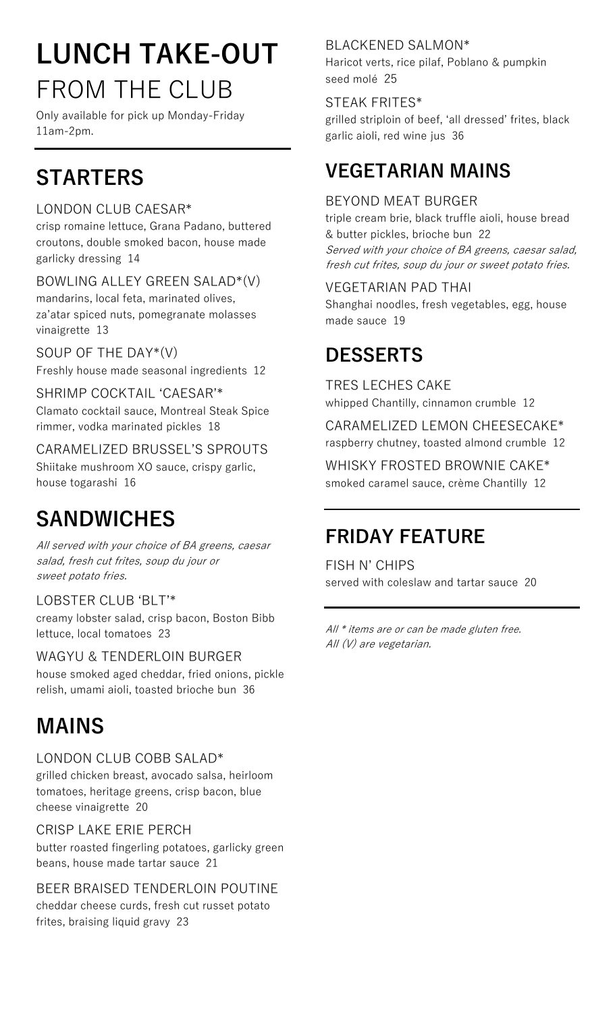## **LUNCH TAKE-OUT**  FROM THE CLUB

Only available for pick up Monday-Friday 11am-2pm.

### **STARTERS**

#### LONDON CLUB CAESAR\*

crisp romaine lettuce, Grana Padano, buttered croutons, double smoked bacon, house made garlicky dressing 14

BOWLING ALLEY GREEN SALAD\*(V) mandarins, local feta, marinated olives, za'atar spiced nuts, pomegranate molasses vinaigrette 13

SOUP OF THE DAY\*(V) Freshly house made seasonal ingredients 12

SHRIMP COCKTAIL ʻCAESAR'\* Clamato cocktail sauce, Montreal Steak Spice rimmer, vodka marinated pickles 18

CARAMELIZED BRUSSEL'S SPROUTS Shiitake mushroom XO sauce, crispy garlic, house togarashi 16

### **SANDWICHES**

All served with your choice of BA greens, caesar salad, fresh cut frites, soup du jour or sweet potato fries.

LOBSTER CLUB ʻBLT'\* creamy lobster salad, crisp bacon, Boston Bibb lettuce, local tomatoes 23

WAGYU & TENDERLOIN BURGER house smoked aged cheddar, fried onions, pickle relish, umami aioli, toasted brioche bun 36

### **MAINS**

LONDON CLUB COBB SALAD\*

grilled chicken breast, avocado salsa, heirloom tomatoes, heritage greens, crisp bacon, blue cheese vinaigrette 20

#### CRISP LAKE ERIE PERCH

butter roasted fingerling potatoes, garlicky green beans, house made tartar sauce 21

BEER BRAISED TENDERLOIN POUTINE cheddar cheese curds, fresh cut russet potato frites, braising liquid gravy 23

#### BLACKENED SALMON\*

Haricot verts, rice pilaf, Poblano & pumpkin seed molé 25

#### STEAK FRITES\*

grilled striploin of beef, ʻall dressed' frites, black garlic aioli, red wine jus 36

### **VEGETARIAN MAINS**

#### BEYOND MEAT BURGER

triple cream brie, black truffle aioli, house bread & butter pickles, brioche bun 22 Served with your choice of BA greens, caesar salad, fresh cut frites, soup du jour or sweet potato fries.

#### VEGETARIAN PAD THAI

Shanghai noodles, fresh vegetables, egg, house made sauce 19

### **DESSERTS**

TRES LECHES CAKE whipped Chantilly, cinnamon crumble 12

CARAMELIZED LEMON CHEESECAKE\* raspberry chutney, toasted almond crumble 12

WHISKY FROSTED BROWNIE CAKE\* smoked caramel sauce, crème Chantilly 12

### **FRIDAY FEATURE**

FISH N' CHIPS served with coleslaw and tartar sauce 20

All \* items are or can be made gluten free. All (V) are vegetarian.